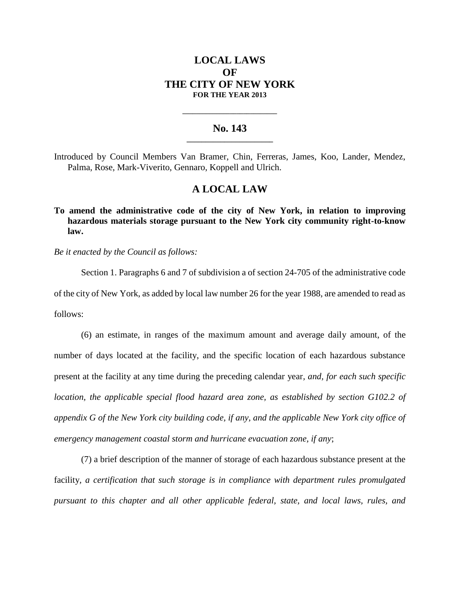# **LOCAL LAWS OF THE CITY OF NEW YORK FOR THE YEAR 2013**

### **No. 143 \_\_\_\_\_\_\_\_\_\_\_\_\_\_\_\_\_\_\_\_\_\_\_**

**\_\_\_\_\_\_\_\_\_\_\_\_\_\_\_\_\_\_\_\_\_\_\_\_\_\_\_\_**

Introduced by Council Members Van Bramer, Chin, Ferreras, James, Koo, Lander, Mendez, Palma, Rose, Mark-Viverito, Gennaro, Koppell and Ulrich.

## **A LOCAL LAW**

**To amend the administrative code of the city of New York, in relation to improving hazardous materials storage pursuant to the New York city community right-to-know law.**

*Be it enacted by the Council as follows:*

Section 1. Paragraphs 6 and 7 of subdivision a of section 24-705 of the administrative code of the city of New York, as added by local law number 26 for the year 1988, are amended to read as follows:

(6) an estimate, in ranges of the maximum amount and average daily amount, of the number of days located at the facility, and the specific location of each hazardous substance present at the facility at any time during the preceding calendar year*, and, for each such specific location, the applicable special flood hazard area zone, as established by section G102.2 of appendix G of the New York city building code, if any, and the applicable New York city office of emergency management coastal storm and hurricane evacuation zone, if any*;

(7) a brief description of the manner of storage of each hazardous substance present at the facility*, a certification that such storage is in compliance with department rules promulgated pursuant to this chapter and all other applicable federal, state, and local laws, rules, and*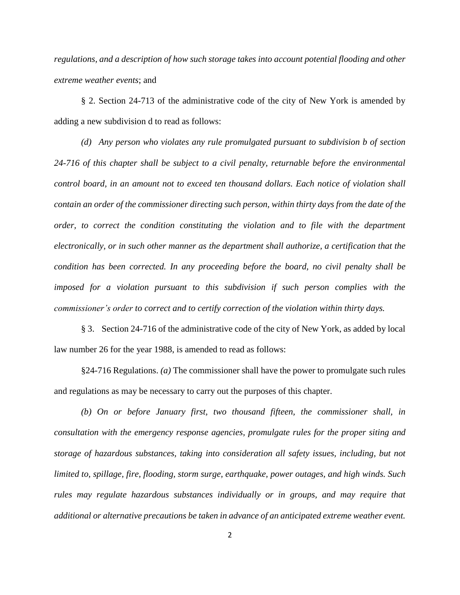*regulations, and a description of how such storage takes into account potential flooding and other extreme weather events*; and

§ 2. Section 24-713 of the administrative code of the city of New York is amended by adding a new subdivision d to read as follows:

*(d) Any person who violates any rule promulgated pursuant to subdivision b of section 24-716 of this chapter shall be subject to a civil penalty, returnable before the environmental control board, in an amount not to exceed ten thousand dollars. Each notice of violation shall contain an order of the commissioner directing such person, within thirty days from the date of the order, to correct the condition constituting the violation and to file with the department electronically, or in such other manner as the department shall authorize, a certification that the condition has been corrected. In any proceeding before the board, no civil penalty shall be imposed for a violation pursuant to this subdivision if such person complies with the commissioner's order to correct and to certify correction of the violation within thirty days.*

§ 3. Section 24-716 of the administrative code of the city of New York, as added by local law number 26 for the year 1988, is amended to read as follows:

§24-716 Regulations. *(a)* The commissioner shall have the power to promulgate such rules and regulations as may be necessary to carry out the purposes of this chapter.

*(b) On or before January first, two thousand fifteen, the commissioner shall, in consultation with the emergency response agencies, promulgate rules for the proper siting and storage of hazardous substances, taking into consideration all safety issues, including, but not limited to, spillage, fire, flooding, storm surge, earthquake, power outages, and high winds. Such rules may regulate hazardous substances individually or in groups, and may require that additional or alternative precautions be taken in advance of an anticipated extreme weather event.*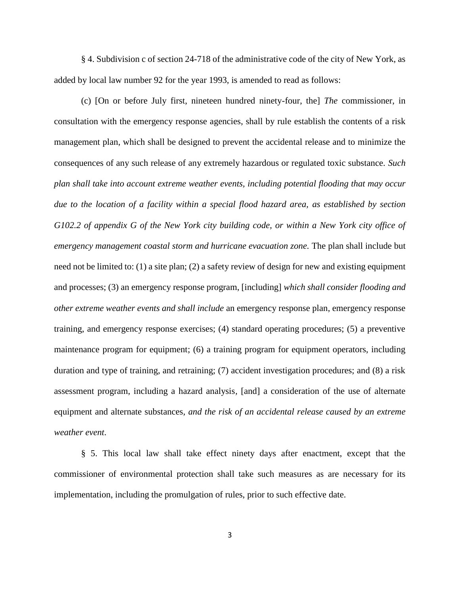§ 4. Subdivision c of section 24-718 of the administrative code of the city of New York, as added by local law number 92 for the year 1993, is amended to read as follows:

(c) [On or before July first, nineteen hundred ninety-four, the] *The* commissioner, in consultation with the emergency response agencies, shall by rule establish the contents of a risk management plan, which shall be designed to prevent the accidental release and to minimize the consequences of any such release of any extremely hazardous or regulated toxic substance. *Such plan shall take into account extreme weather events, including potential flooding that may occur due to the location of a facility within a special flood hazard area, as established by section G102.2 of appendix G of the New York city building code, or within a New York city office of emergency management coastal storm and hurricane evacuation zone.* The plan shall include but need not be limited to: (1) a site plan; (2) a safety review of design for new and existing equipment and processes; (3) an emergency response program, [including] *which shall consider flooding and other extreme weather events and shall include* an emergency response plan, emergency response training, and emergency response exercises; (4) standard operating procedures; (5) a preventive maintenance program for equipment; (6) a training program for equipment operators, including duration and type of training, and retraining; (7) accident investigation procedures; and (8) a risk assessment program, including a hazard analysis*,* [and] a consideration of the use of alternate equipment and alternate substances*, and the risk of an accidental release caused by an extreme weather event*.

§ 5. This local law shall take effect ninety days after enactment, except that the commissioner of environmental protection shall take such measures as are necessary for its implementation, including the promulgation of rules, prior to such effective date.